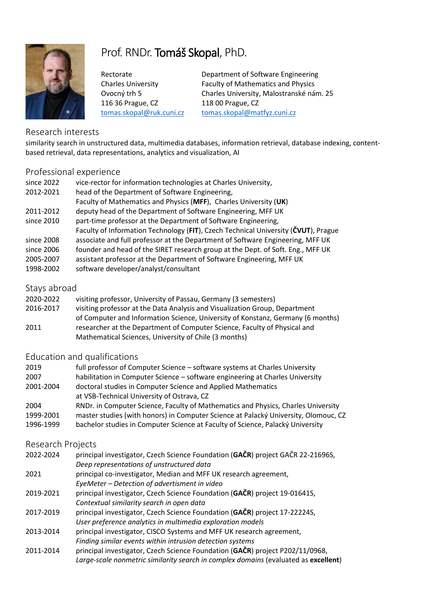

# Prof. RNDr. Tomáš Skopal, PhD.

116 36 Prague, CZ 118 00 Prague, CZ

Rectorate **Department of Software Engineering** Charles University Faculty of Mathematics and Physics Ovocný trh 5 Charles University, Malostranské nám. 25 [tomas.skopal@ruk.cuni.cz](mailto:tomas.skopal@ruk.cuni.cz) [tomas.skopal@matfyz.cuni.cz](mailto:tomas.skopal@matfyz.cuni.cz)

## Research interests

similarity search in unstructured data, multimedia databases, information retrieval, database indexing, contentbased retrieval, data representations, analytics and visualization, AI

## Professional experience

| since 2022   | vice-rector for information technologies at Charles University,                    |
|--------------|------------------------------------------------------------------------------------|
| 2012-2021    | head of the Department of Software Engineering,                                    |
|              | Faculty of Mathematics and Physics (MFF), Charles University (UK)                  |
| 2011-2012    | deputy head of the Department of Software Engineering, MFF UK                      |
| since 2010   | part-time professor at the Department of Software Engineering,                     |
|              | Faculty of Information Technology (FIT), Czech Technical University (ČVUT), Prague |
| since 2008   | associate and full professor at the Department of Software Engineering, MFF UK     |
| since 2006   | founder and head of the SIRET research group at the Dept. of Soft. Eng., MFF UK    |
| 2005-2007    | assistant professor at the Department of Software Engineering, MFF UK              |
| 1998-2002    | software developer/analyst/consultant                                              |
|              |                                                                                    |
| Stays abroad |                                                                                    |

#### Stays abroad

| 2020-2022 | visiting professor, University of Passau, Germany (3 semesters)                 |
|-----------|---------------------------------------------------------------------------------|
| 2016-2017 | visiting professor at the Data Analysis and Visualization Group, Department     |
|           | of Computer and Information Science, University of Konstanz, Germany (6 months) |

2011 researcher at the Department of Computer Science, Faculty of Physical and Mathematical Sciences, University of Chile (3 months)

# Education and qualifications

| 2019      | full professor of Computer Science – software systems at Charles University         |
|-----------|-------------------------------------------------------------------------------------|
| 2007      | habilitation in Computer Science - software engineering at Charles University       |
| 2001-2004 | doctoral studies in Computer Science and Applied Mathematics                        |
|           | at VSB-Technical University of Ostrava, CZ                                          |
| 2004      | RNDr. in Computer Science, Faculty of Mathematics and Physics, Charles University   |
| 1999-2001 | master studies (with honors) in Computer Science at Palacký University, Olomouc, CZ |
| 1996-1999 | bachelor studies in Computer Science at Faculty of Science, Palacký University      |
|           |                                                                                     |

#### Research Projects

| 2022-2024 | principal investigator, Czech Science Foundation (GAČR) project GAČR 22-21696S,     |
|-----------|-------------------------------------------------------------------------------------|
|           | Deep representations of unstructured data                                           |
| 2021      | principal co-investigator, Median and MFF UK research agreement,                    |
|           | EyeMeter - Detection of advertisment in video                                       |
| 2019-2021 | principal investigator, Czech Science Foundation (GAČR) project 19-01641S,          |
|           | Contextual similarity search in open data                                           |
| 2017-2019 | principal investigator, Czech Science Foundation (GAČR) project 17-22224S,          |
|           | User preference analytics in multimedia exploration models                          |
| 2013-2014 | principal investigator, CISCO Systems and MFF UK research agreement,                |
|           | Finding similar events within intrusion detection systems                           |
| 2011-2014 | principal investigator, Czech Science Foundation (GAČR) project P202/11/0968,       |
|           | Large-scale nonmetric similarity search in complex domains (evaluated as excellent) |